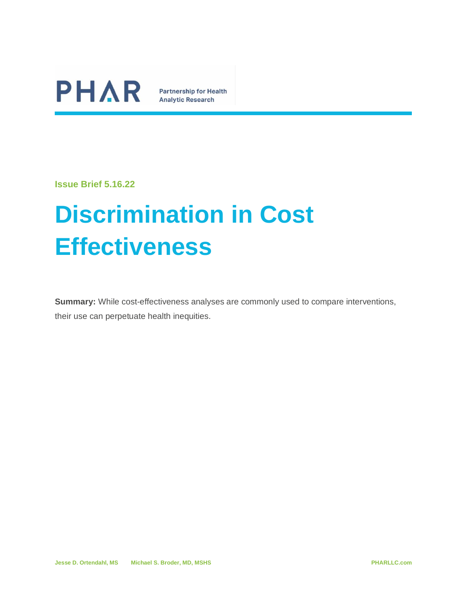

**Analytic Research** 

**Issue Brief 5.16.22**

# **Discrimination in Cost Effectiveness**

**Summary:** While cost-effectiveness analyses are commonly used to compare interventions, their use can perpetuate health inequities.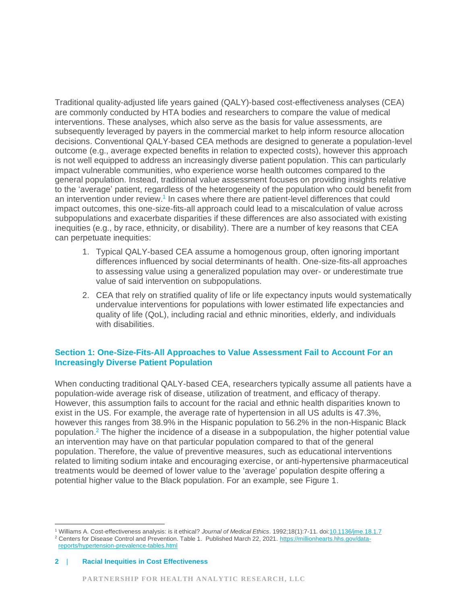Traditional quality-adjusted life years gained (QALY)-based cost-effectiveness analyses (CEA) are commonly conducted by HTA bodies and researchers to compare the value of medical interventions. These analyses, which also serve as the basis for value assessments, are subsequently leveraged by payers in the commercial market to help inform resource allocation decisions. Conventional QALY-based CEA methods are designed to generate a population-level outcome (e.g., average expected benefits in relation to expected costs), however this approach is not well equipped to address an increasingly diverse patient population. This can particularly impact vulnerable communities, who experience worse health outcomes compared to the general population. Instead, traditional value assessment focuses on providing insights relative to the 'average' patient, regardless of the heterogeneity of the population who could benefit from an intervention under review.<sup>1</sup> In cases where there are patient-level differences that could impact outcomes, this one-size-fits-all approach could lead to a miscalculation of value across subpopulations and exacerbate disparities if these differences are also associated with existing inequities (e.g., by race, ethnicity, or disability). There are a number of key reasons that CEA can perpetuate inequities:

- 1. Typical QALY-based CEA assume a homogenous group, often ignoring important differences influenced by social determinants of health. One-size-fits-all approaches to assessing value using a generalized population may over- or underestimate true value of said intervention on subpopulations.
- 2. CEA that rely on stratified quality of life or life expectancy inputs would systematically undervalue interventions for populations with lower estimated life expectancies and quality of life (QoL), including racial and ethnic minorities, elderly, and individuals with disabilities.

## **Section 1: One-Size-Fits-All Approaches to Value Assessment Fail to Account For an Increasingly Diverse Patient Population**

When conducting traditional QALY-based CEA, researchers typically assume all patients have a population-wide average risk of disease, utilization of treatment, and efficacy of therapy. However, this assumption fails to account for the racial and ethnic health disparities known to exist in the US. For example, the average rate of hypertension in all US adults is 47.3%, however this ranges from 38.9% in the Hispanic population to 56.2% in the non-Hispanic Black population.<sup>2</sup> The higher the incidence of a disease in a subpopulation, the higher potential value an intervention may have on that particular population compared to that of the general population. Therefore, the value of preventive measures, such as educational interventions related to limiting sodium intake and encouraging exercise, or anti-hypertensive pharmaceutical treatments would be deemed of lower value to the 'average' population despite offering a potential higher value to the Black population. For an example, see [Figure 1.](#page-2-0)

<sup>1</sup> Williams A. Cost-effectiveness analysis: is it ethical? *Journal of Medical Ethics*. 1992;18(1):7-11. doi[:10.1136/jme.18.1.7](https://doi.org/10.1136/jme.18.1.7) <sup>2</sup> Centers for Disease Control and Prevention. Table 1. Published March 22, 2021. [https://millionhearts.hhs.gov/data](https://millionhearts.hhs.gov/data-reports/hypertension-prevalence-tables.html)[reports/hypertension-prevalence-tables.html](https://millionhearts.hhs.gov/data-reports/hypertension-prevalence-tables.html)

**<sup>2</sup>** | **Racial Inequities in Cost Effectiveness**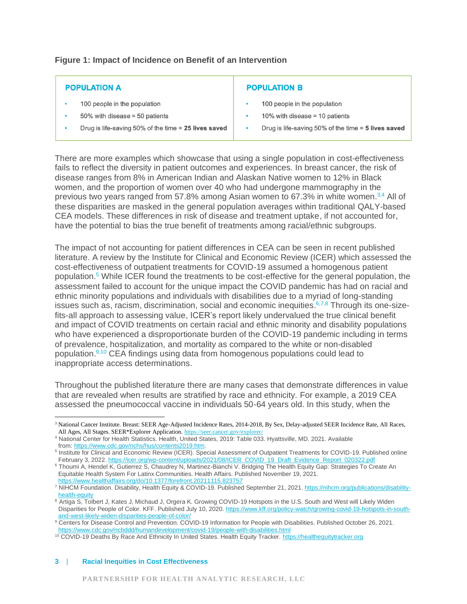<span id="page-2-0"></span>**Figure 1: Impact of Incidence on Benefit of an Intervention**

| <b>POPULATION A</b>                                    | <b>POPULATION B</b>                                   |
|--------------------------------------------------------|-------------------------------------------------------|
| 100 people in the population                           | 100 people in the population                          |
| $50\%$ with disease = 50 patients                      | 10% with disease = 10 patients                        |
| Drug is life-saving 50% of the time $= 25$ lives saved | Drug is life-saving 50% of the time $=$ 5 lives saved |

There are more examples which showcase that using a single population in cost-effectiveness fails to reflect the diversity in patient outcomes and experiences. In breast cancer, the risk of disease ranges from 8% in American Indian and Alaskan Native women to 12% in Black women, and the proportion of women over 40 who had undergone mammography in the previous two years ranged from 57.8% among Asian women to 67.3% in white women.3,4 All of these disparities are masked in the general population averages within traditional QALY-based CEA models. These differences in risk of disease and treatment uptake, if not accounted for, have the potential to bias the true benefit of treatments among racial/ethnic subgroups.

The impact of not accounting for patient differences in CEA can be seen in recent published literature. A review by the Institute for Clinical and Economic Review (ICER) which assessed the cost-effectiveness of outpatient treatments for COVID-19 assumed a homogenous patient population.<sup>5</sup> While ICER found the treatments to be cost-effective for the general population, the assessment failed to account for the unique impact the COVID pandemic has had on racial and ethnic minority populations and individuals with disabilities due to a myriad of long-standing issues such as, racism, discrimination, social and economic inequities.<sup>6,7,8</sup> Through its one-sizefits-all approach to assessing value, ICER's report likely undervalued the true clinical benefit and impact of COVID treatments on certain racial and ethnic minority and disability populations who have experienced a disproportionate burden of the COVID-19 pandemic including in terms of prevalence, hospitalization, and mortality as compared to the white or non-disabled population.<sup>9,10</sup> CEA findings using data from homogenous populations could lead to inappropriate access determinations.

Throughout the published literature there are many cases that demonstrate differences in value that are revealed when results are stratified by race and ethnicity. For example, a 2019 CEA assessed the pneumococcal vaccine in individuals 50-64 years old. In this study, when the

#### **3** | **Racial Inequities in Cost Effectiveness**

<sup>3</sup> National Cancer Institute. Breast: SEER Age-Adjusted Incidence Rates, 2014-2018, By Sex, Delay-adjusted SEER Incidence Rate, All Races, All Ages, All Stages. SEER\*Explorer Application[. https://seer.cancer.gov/explorer/](https://seer.cancer.gov/explorer/)

<sup>4</sup> National Center for Health Statistics. Health, United States, 2019: Table 033. Hyattsville, MD. 2021. Available from: [https://www.cdc.gov/nchs/hus/contents2019.htm.](https://www.cdc.gov/nchs/hus/contents2019.htm)

<sup>&</sup>lt;sup>5</sup> Institute for Clinical and Economic Review (ICER). Special Assessment of Outpatient Treatments for COVID-19. Published online February 3, 2022. [https://icer.org/wp-content/uploads/2021/08/ICER\\_COVID\\_19\\_Draft\\_Evidence\\_Report\\_020322.pdf](https://icer.org/wp-content/uploads/2021/08/ICER_COVID_19_Draft_Evidence_Report_020322.pdf)

<sup>&</sup>lt;sup>6</sup> Thoumi A, Hendel K, Gutierrez S, Chaudrey N, Martinez-Bianchi V. Bridging The Health Equity Gap: Strategies To Create An Equitable Health System For Latinx Communities. Health Affairs. Published November 19, 2021. <https://www.healthaffairs.org/do/10.1377/forefront.20211115.823757>

<sup>7</sup> NIHCM Foundation. Disability, Health Equity & COVID-19. Published September 21, 2021[. https://nihcm.org/publications/disability](https://nihcm.org/publications/disability-health-equity)[health-equity](https://nihcm.org/publications/disability-health-equity)

<sup>8</sup> Artiga S, Tolbert J, Kates J, Michaud J, Orgera K. Growing COVID-19 Hotspots in the U.S. South and West will Likely Widen Disparities for People of Color. KFF. Published July 10, 2020[. https://www.kff.org/policy-watch/growing-covid-19-hotspots-in-south](https://www.kff.org/policy-watch/growing-covid-19-hotspots-in-south-and-west-likely-widen-disparities-people-of-color/)[and-west-likely-widen-disparities-people-of-color/](https://www.kff.org/policy-watch/growing-covid-19-hotspots-in-south-and-west-likely-widen-disparities-people-of-color/)

<sup>&</sup>lt;sup>9</sup> Centers for Disease Control and Prevention. COVID-19 Information for People with Disabilities. Published October 26, 2021. <https://www.cdc.gov/ncbddd/humandevelopment/covid-19/people-with-disabilities.html>

<sup>&</sup>lt;sup>10</sup> COVID-19 Deaths By Race And Ethnicity In United States. Health Equity Tracker[. https://healthequitytracker.org](https://healthequitytracker.org/)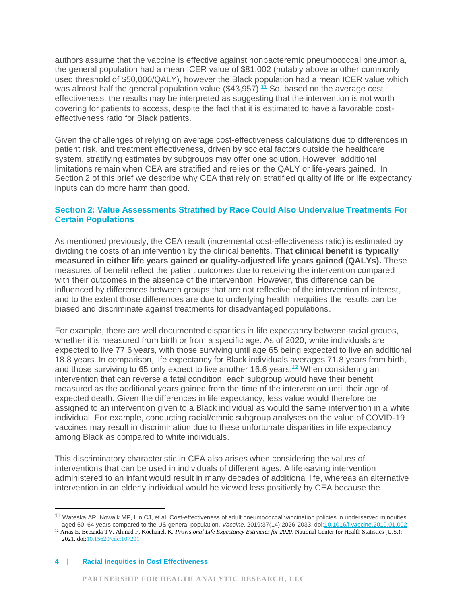authors assume that the vaccine is effective against nonbacteremic pneumococcal pneumonia, the general population had a mean ICER value of \$81,002 (notably above another commonly used threshold of \$50,000/QALY), however the Black population had a mean ICER value which was almost half the general population value (\$43,957).<sup>11</sup> So, based on the average cost effectiveness, the results may be interpreted as suggesting that the intervention is not worth covering for patients to access, despite the fact that it is estimated to have a favorable costeffectiveness ratio for Black patients.

Given the challenges of relying on average cost-effectiveness calculations due to differences in patient risk, and treatment effectiveness, driven by societal factors outside the healthcare system, stratifying estimates by subgroups may offer one solution. However, additional limitations remain when CEA are stratified and relies on the QALY or life-years gained. In Section 2 of this brief we describe why CEA that rely on stratified quality of life or life expectancy inputs can do more harm than good.

## **Section 2: Value Assessments Stratified by Race Could Also Undervalue Treatments For Certain Populations**

As mentioned previously, the CEA result (incremental cost-effectiveness ratio) is estimated by dividing the costs of an intervention by the clinical benefits. **That clinical benefit is typically measured in either life years gained or quality-adjusted life years gained (QALYs).** These measures of benefit reflect the patient outcomes due to receiving the intervention compared with their outcomes in the absence of the intervention. However, this difference can be influenced by differences between groups that are not reflective of the intervention of interest, and to the extent those differences are due to underlying health inequities the results can be biased and discriminate against treatments for disadvantaged populations.

For example, there are well documented disparities in life expectancy between racial groups, whether it is measured from birth or from a specific age. As of 2020, white individuals are expected to live 77.6 years, with those surviving until age 65 being expected to live an additional 18.8 years. In comparison, life expectancy for Black individuals averages 71.8 years from birth, and those surviving to 65 only expect to live another 16.6 years.<sup>12</sup> When considering an intervention that can reverse a fatal condition, each subgroup would have their benefit measured as the additional years gained from the time of the intervention until their age of expected death. Given the differences in life expectancy, less value would therefore be assigned to an intervention given to a Black individual as would the same intervention in a white individual. For example, conducting racial/ethnic subgroup analyses on the value of COVID-19 vaccines may result in discrimination due to these unfortunate disparities in life expectancy among Black as compared to white individuals.

This discriminatory characteristic in CEA also arises when considering the values of interventions that can be used in individuals of different ages. A life-saving intervention administered to an infant would result in many decades of additional life, whereas an alternative intervention in an elderly individual would be viewed less positively by CEA because the

#### **4** | **Racial Inequities in Cost Effectiveness**

<sup>&</sup>lt;sup>11</sup> Wateska AR, Nowalk MP, Lin CJ, et al. Cost-effectiveness of adult pneumococcal vaccination policies in underserved minorities aged 50–64 years compared to the US general population. *Vaccine*. 2019;37(14):2026-2033. doi[:10.1016/j.vaccine.2019.01.002](https://doi.org/10.1016/j.vaccine.2019.01.002)

<sup>&</sup>lt;sup>12</sup> Arias E, Betzaida TV, Ahmad F, Kochanek K. *Provisional Life Expectancy Estimates for* 2020. National Center for Health Statistics (U.S.); 2021. do[i:10.15620/cdc:107201](https://doi.org/10.15620/cdc:107201)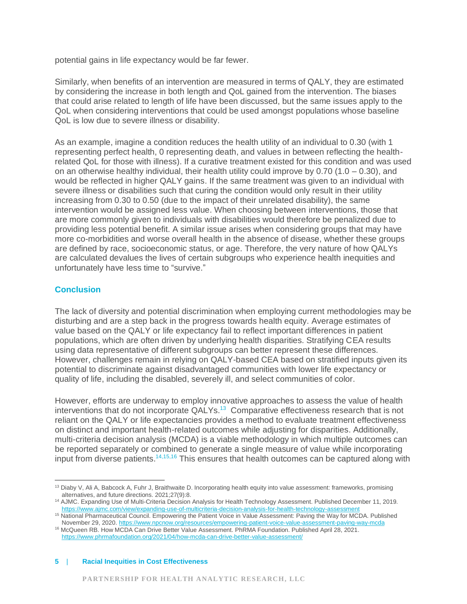potential gains in life expectancy would be far fewer.

Similarly, when benefits of an intervention are measured in terms of QALY, they are estimated by considering the increase in both length and QoL gained from the intervention. The biases that could arise related to length of life have been discussed, but the same issues apply to the QoL when considering interventions that could be used amongst populations whose baseline QoL is low due to severe illness or disability.

As an example, imagine a condition reduces the health utility of an individual to 0.30 (with 1 representing perfect health, 0 representing death, and values in between reflecting the healthrelated QoL for those with illness). If a curative treatment existed for this condition and was used on an otherwise healthy individual, their health utility could improve by 0.70 (1.0 – 0.30), and would be reflected in higher QALY gains. If the same treatment was given to an individual with severe illness or disabilities such that curing the condition would only result in their utility increasing from 0.30 to 0.50 (due to the impact of their unrelated disability), the same intervention would be assigned less value. When choosing between interventions, those that are more commonly given to individuals with disabilities would therefore be penalized due to providing less potential benefit. A similar issue arises when considering groups that may have more co-morbidities and worse overall health in the absence of disease, whether these groups are defined by race, socioeconomic status, or age. Therefore, the very nature of how QALYs are calculated devalues the lives of certain subgroups who experience health inequities and unfortunately have less time to "survive."

### **Conclusion**

The lack of diversity and potential discrimination when employing current methodologies may be disturbing and are a step back in the progress towards health equity. Average estimates of value based on the QALY or life expectancy fail to reflect important differences in patient populations, which are often driven by underlying health disparities. Stratifying CEA results using data representative of different subgroups can better represent these differences. However, challenges remain in relying on QALY-based CEA based on stratified inputs given its potential to discriminate against disadvantaged communities with lower life expectancy or quality of life, including the disabled, severely ill, and select communities of color.

However, efforts are underway to employ innovative approaches to assess the value of health interventions that do not incorporate QALYs.<sup>13</sup> Comparative effectiveness research that is not reliant on the QALY or life expectancies provides a method to evaluate treatment effectiveness on distinct and important health-related outcomes while adjusting for disparities. Additionally, multi-criteria decision analysis (MCDA) is a viable methodology in which multiple outcomes can be reported separately or combined to generate a single measure of value while incorporating input from diverse patients.<sup>14,15,16</sup> This ensures that health outcomes can be captured along with

<sup>&</sup>lt;sup>13</sup> Diaby V, Ali A, Babcock A, Fuhr J, Braithwaite D. Incorporating health equity into value assessment: frameworks, promising alternatives, and future directions. 2021;27(9):8.

<sup>14</sup> AJMC. Expanding Use of Multi-Criteria Decision Analysis for Health Technology Assessment. Published December 11, 2019. <https://www.ajmc.com/view/expanding-use-of-multicriteria-decision-analysis-for-health-technology-assessment>

<sup>15</sup> National Pharmaceutical Council. Empowering the Patient Voice in Value Assessment: Paving the Way for MCDA. Published November 29, 2020[. https://www.npcnow.org/resources/empowering-patient-voice-value-assessment-paving-way-mcda](https://www.npcnow.org/resources/empowering-patient-voice-value-assessment-paving-way-mcda)

<sup>16</sup> McQueen RB. How MCDA Can Drive Better Value Assessment. PhRMA Foundation. Published April 28, 2021. <https://www.phrmafoundation.org/2021/04/how-mcda-can-drive-better-value-assessment/>